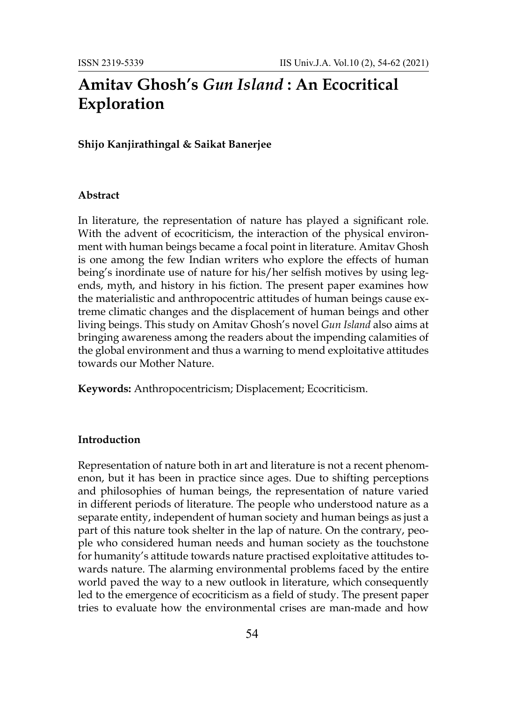# **Amitav Ghosh's** *Gun Island* **: An Ecocritical Exploration**

# **Shijo Kanjirathingal & Saikat Banerjee**

## **Abstract**

In literature, the representation of nature has played a significant role. With the advent of ecocriticism, the interaction of the physical environment with human beings became a focal point in literature. Amitav Ghosh is one among the few Indian writers who explore the effects of human being's inordinate use of nature for his/her selfish motives by using legends, myth, and history in his fiction. The present paper examines how the materialistic and anthropocentric attitudes of human beings cause extreme climatic changes and the displacement of human beings and other living beings. This study on Amitav Ghosh's novel *Gun Island* also aims at bringing awareness among the readers about the impending calamities of the global environment and thus a warning to mend exploitative attitudes towards our Mother Nature.

**Keywords:** Anthropocentricism; Displacement; Ecocriticism.

#### **Introduction**

Representation of nature both in art and literature is not a recent phenomenon, but it has been in practice since ages. Due to shifting perceptions and philosophies of human beings, the representation of nature varied in different periods of literature. The people who understood nature as a separate entity, independent of human society and human beings as just a part of this nature took shelter in the lap of nature. On the contrary, people who considered human needs and human society as the touchstone for humanity's attitude towards nature practised exploitative attitudes towards nature. The alarming environmental problems faced by the entire world paved the way to a new outlook in literature, which consequently led to the emergence of ecocriticism as a field of study. The present paper tries to evaluate how the environmental crises are man-made and how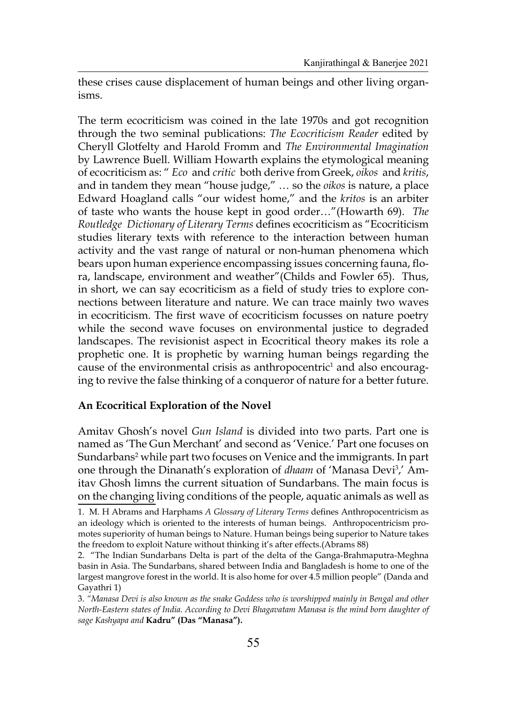these crises cause displacement of human beings and other living organisms.

The term ecocriticism was coined in the late 1970s and got recognition through the two seminal publications: *The Ecocriticism Reader* edited by Cheryll Glotfelty and Harold Fromm and *The Environmental Imagination*  by Lawrence Buell. William Howarth explains the etymological meaning of ecocriticism as: " *Eco* and *critic* both derive from Greek, *oikos* and *kritis*, and in tandem they mean "house judge," … so the *oikos* is nature, a place Edward Hoagland calls "our widest home," and the *kritos* is an arbiter of taste who wants the house kept in good order…"(Howarth 69). *The Routledge Dictionary of Literary Terms* defines ecocriticism as "Ecocriticism studies literary texts with reference to the interaction between human activity and the vast range of natural or non-human phenomena which bears upon human experience encompassing issues concerning fauna, flora, landscape, environment and weather"(Childs and Fowler 65). Thus, in short, we can say ecocriticism as a field of study tries to explore connections between literature and nature. We can trace mainly two waves in ecocriticism. The first wave of ecocriticism focusses on nature poetry while the second wave focuses on environmental justice to degraded landscapes. The revisionist aspect in Ecocritical theory makes its role a prophetic one. It is prophetic by warning human beings regarding the cause of the environmental crisis as anthropocentric<sup>1</sup> and also encouraging to revive the false thinking of a conqueror of nature for a better future.

### **An Ecocritical Exploration of the Novel**

Amitav Ghosh's novel *Gun Island* is divided into two parts. Part one is named as 'The Gun Merchant' and second as 'Venice.' Part one focuses on Sundarbans<sup>2</sup> while part two focuses on Venice and the immigrants. In part one through the Dinanath's exploration of *dhaam* of 'Manasa Devi<sup>3</sup>,' Amitav Ghosh limns the current situation of Sundarbans. The main focus is on the changing living conditions of the people, aquatic animals as well as

<sup>1.</sup> M. H Abrams and Harphams *A Glossary of Literary Terms* defines Anthropocentricism as an ideology which is oriented to the interests of human beings. Anthropocentricism promotes superiority of human beings to Nature. Human beings being superior to Nature takes the freedom to exploit Nature without thinking it's after effects.(Abrams 88)

<sup>2. &</sup>quot;The Indian Sundarbans Delta is part of the delta of the Ganga-Brahmaputra-Meghna basin in Asia. The Sundarbans, shared between India and Bangladesh is home to one of the largest mangrove forest in the world. It is also home for over 4.5 million people" (Danda and Gayathri 1)

<sup>3.</sup> *"Manasa Devi is also known as the snake Goddess who is worshipped mainly in Bengal and other North-Eastern states of India. According to Devi Bhagavatam Manasa is the mind born daughter of sage Kashyapa and* **Kadru" (Das "Manasa").**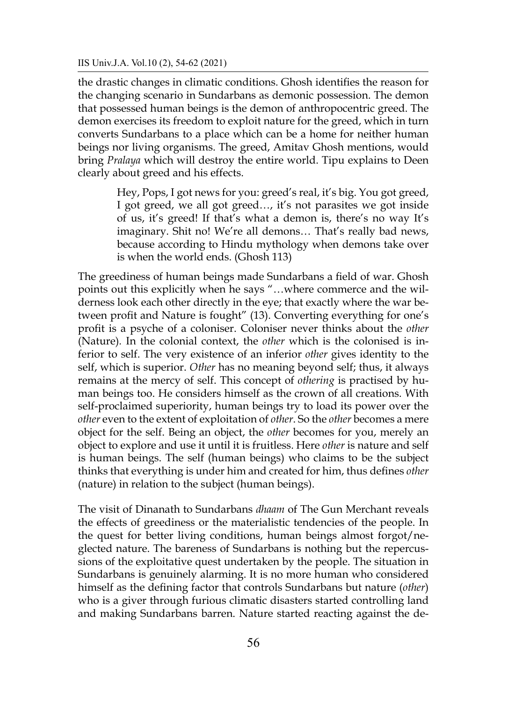#### IIS Univ.J.A. Vol.10 (2), 54-62 (2021)

the drastic changes in climatic conditions. Ghosh identifies the reason for the changing scenario in Sundarbans as demonic possession. The demon that possessed human beings is the demon of anthropocentric greed. The demon exercises its freedom to exploit nature for the greed, which in turn converts Sundarbans to a place which can be a home for neither human beings nor living organisms. The greed, Amitav Ghosh mentions, would bring *Pralaya* which will destroy the entire world. Tipu explains to Deen clearly about greed and his effects.

> Hey, Pops, I got news for you: greed's real, it's big. You got greed, I got greed, we all got greed…, it's not parasites we got inside of us, it's greed! If that's what a demon is, there's no way It's imaginary. Shit no! We're all demons… That's really bad news, because according to Hindu mythology when demons take over is when the world ends. (Ghosh 113)

The greediness of human beings made Sundarbans a field of war. Ghosh points out this explicitly when he says "…where commerce and the wilderness look each other directly in the eye; that exactly where the war between profit and Nature is fought" (13). Converting everything for one's profit is a psyche of a coloniser. Coloniser never thinks about the *other*  (Nature)*.* In the colonial context, the *other* which is the colonised is inferior to self. The very existence of an inferior *other* gives identity to the self, which is superior. *Other* has no meaning beyond self; thus, it always remains at the mercy of self. This concept of *othering* is practised by human beings too. He considers himself as the crown of all creations. With self-proclaimed superiority, human beings try to load its power over the *other* even to the extent of exploitation of *other*. So the *other* becomes a mere object for the self. Being an object, the *other* becomes for you, merely an object to explore and use it until it is fruitless. Here *other* is nature and self is human beings. The self (human beings) who claims to be the subject thinks that everything is under him and created for him, thus defines *other*  (nature) in relation to the subject (human beings).

The visit of Dinanath to Sundarbans *dhaam* of The Gun Merchant reveals the effects of greediness or the materialistic tendencies of the people. In the quest for better living conditions, human beings almost forgot/neglected nature. The bareness of Sundarbans is nothing but the repercussions of the exploitative quest undertaken by the people. The situation in Sundarbans is genuinely alarming. It is no more human who considered himself as the defining factor that controls Sundarbans but nature (*other*) who is a giver through furious climatic disasters started controlling land and making Sundarbans barren. Nature started reacting against the de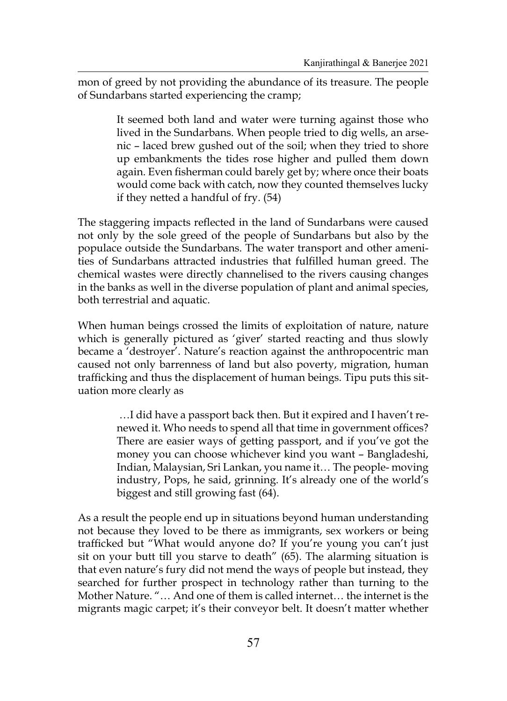mon of greed by not providing the abundance of its treasure. The people of Sundarbans started experiencing the cramp;

> It seemed both land and water were turning against those who lived in the Sundarbans. When people tried to dig wells, an arsenic – laced brew gushed out of the soil; when they tried to shore up embankments the tides rose higher and pulled them down again. Even fisherman could barely get by; where once their boats would come back with catch, now they counted themselves lucky if they netted a handful of fry. (54)

The staggering impacts reflected in the land of Sundarbans were caused not only by the sole greed of the people of Sundarbans but also by the populace outside the Sundarbans. The water transport and other amenities of Sundarbans attracted industries that fulfilled human greed. The chemical wastes were directly channelised to the rivers causing changes in the banks as well in the diverse population of plant and animal species, both terrestrial and aquatic.

When human beings crossed the limits of exploitation of nature, nature which is generally pictured as 'giver' started reacting and thus slowly became a 'destroyer'. Nature's reaction against the anthropocentric man caused not only barrenness of land but also poverty, migration, human trafficking and thus the displacement of human beings. Tipu puts this situation more clearly as

> …I did have a passport back then. But it expired and I haven't renewed it. Who needs to spend all that time in government offices? There are easier ways of getting passport, and if you've got the money you can choose whichever kind you want – Bangladeshi, Indian, Malaysian, Sri Lankan, you name it… The people- moving industry, Pops, he said, grinning. It's already one of the world's biggest and still growing fast (64).

As a result the people end up in situations beyond human understanding not because they loved to be there as immigrants, sex workers or being trafficked but "What would anyone do? If you're young you can't just sit on your butt till you starve to death" (65). The alarming situation is that even nature's fury did not mend the ways of people but instead, they searched for further prospect in technology rather than turning to the Mother Nature. "… And one of them is called internet… the internet is the migrants magic carpet; it's their conveyor belt. It doesn't matter whether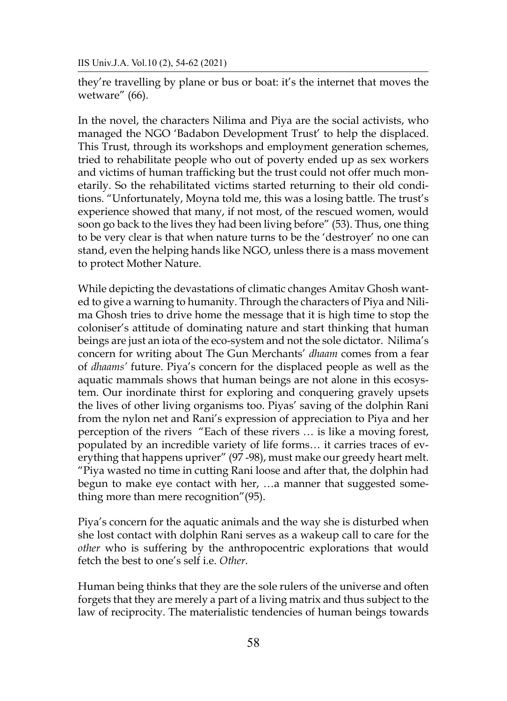IIS Univ.J.A. Vol.10 (2), 54-62 (2021)

they're travelling by plane or bus or boat: it's the internet that moves the wetware" (66).

In the novel, the characters Nilima and Piya are the social activists, who managed the NGO 'Badabon Development Trust' to help the displaced. This Trust, through its workshops and employment generation schemes, tried to rehabilitate people who out of poverty ended up as sex workers and victims of human trafficking but the trust could not offer much monetarily. So the rehabilitated victims started returning to their old conditions. "Unfortunately, Moyna told me, this was a losing battle. The trust's experience showed that many, if not most, of the rescued women, would soon go back to the lives they had been living before" (53). Thus, one thing to be very clear is that when nature turns to be the 'destroyer' no one can stand, even the helping hands like NGO, unless there is a mass movement to protect Mother Nature.

While depicting the devastations of climatic changes Amitav Ghosh wanted to give a warning to humanity. Through the characters of Piya and Nilima Ghosh tries to drive home the message that it is high time to stop the coloniser's attitude of dominating nature and start thinking that human beings are just an iota of the eco-system and not the sole dictator. Nilima's concern for writing about The Gun Merchants' *dhaam* comes from a fear of *dhaams'* future. Piya's concern for the displaced people as well as the aquatic mammals shows that human beings are not alone in this ecosystem. Our inordinate thirst for exploring and conquering gravely upsets the lives of other living organisms too. Piyas' saving of the dolphin Rani from the nylon net and Rani's expression of appreciation to Piya and her perception of the rivers "Each of these rivers … is like a moving forest, populated by an incredible variety of life forms… it carries traces of everything that happens upriver" (97 -98), must make our greedy heart melt. "Piya wasted no time in cutting Rani loose and after that, the dolphin had begun to make eye contact with her, …a manner that suggested something more than mere recognition"(95).

Piya's concern for the aquatic animals and the way she is disturbed when she lost contact with dolphin Rani serves as a wakeup call to care for the *other* who is suffering by the anthropocentric explorations that would fetch the best to one's self i.e. *Other*.

Human being thinks that they are the sole rulers of the universe and often forgets that they are merely a part of a living matrix and thus subject to the law of reciprocity. The materialistic tendencies of human beings towards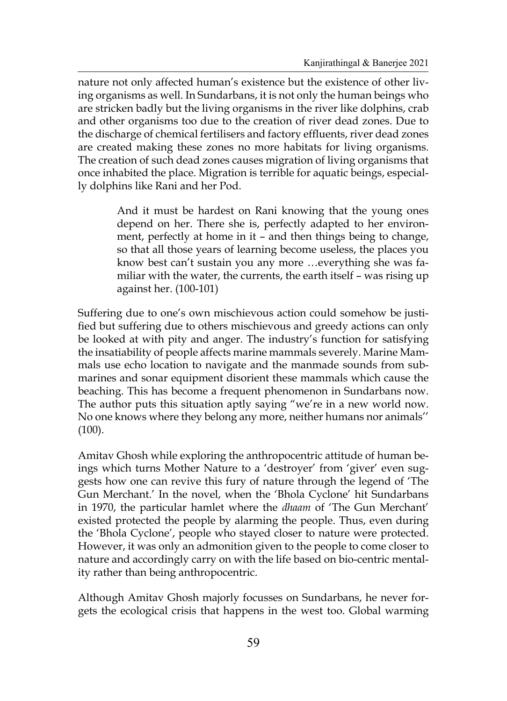nature not only affected human's existence but the existence of other living organisms as well. In Sundarbans, it is not only the human beings who are stricken badly but the living organisms in the river like dolphins, crab and other organisms too due to the creation of river dead zones. Due to the discharge of chemical fertilisers and factory effluents, river dead zones are created making these zones no more habitats for living organisms. The creation of such dead zones causes migration of living organisms that once inhabited the place. Migration is terrible for aquatic beings, especially dolphins like Rani and her Pod.

> And it must be hardest on Rani knowing that the young ones depend on her. There she is, perfectly adapted to her environment, perfectly at home in it – and then things being to change, so that all those years of learning become useless, the places you know best can't sustain you any more …everything she was familiar with the water, the currents, the earth itself – was rising up against her. (100-101)

Suffering due to one's own mischievous action could somehow be justified but suffering due to others mischievous and greedy actions can only be looked at with pity and anger. The industry's function for satisfying the insatiability of people affects marine mammals severely. Marine Mammals use echo location to navigate and the manmade sounds from submarines and sonar equipment disorient these mammals which cause the beaching. This has become a frequent phenomenon in Sundarbans now. The author puts this situation aptly saying "we're in a new world now. No one knows where they belong any more, neither humans nor animals'' (100).

Amitav Ghosh while exploring the anthropocentric attitude of human beings which turns Mother Nature to a 'destroyer' from 'giver' even suggests how one can revive this fury of nature through the legend of 'The Gun Merchant.' In the novel, when the 'Bhola Cyclone' hit Sundarbans in 1970, the particular hamlet where the *dhaam* of 'The Gun Merchant' existed protected the people by alarming the people. Thus, even during the 'Bhola Cyclone', people who stayed closer to nature were protected. However, it was only an admonition given to the people to come closer to nature and accordingly carry on with the life based on bio-centric mentality rather than being anthropocentric.

Although Amitav Ghosh majorly focusses on Sundarbans, he never forgets the ecological crisis that happens in the west too. Global warming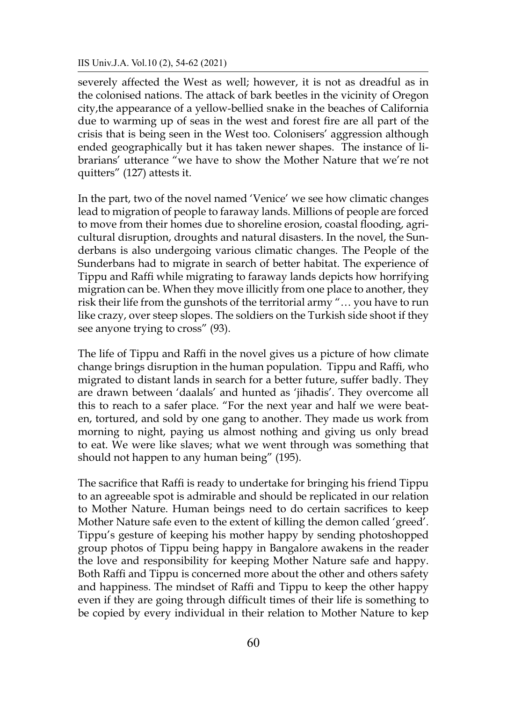#### IIS Univ.J.A. Vol.10 (2), 54-62 (2021)

severely affected the West as well; however, it is not as dreadful as in the colonised nations. The attack of bark beetles in the vicinity of Oregon city,the appearance of a yellow-bellied snake in the beaches of California due to warming up of seas in the west and forest fire are all part of the crisis that is being seen in the West too. Colonisers' aggression although ended geographically but it has taken newer shapes. The instance of librarians' utterance "we have to show the Mother Nature that we're not quitters" (127) attests it.

In the part, two of the novel named 'Venice' we see how climatic changes lead to migration of people to faraway lands. Millions of people are forced to move from their homes due to shoreline erosion, coastal flooding, agricultural disruption, droughts and natural disasters. In the novel, the Sunderbans is also undergoing various climatic changes. The People of the Sunderbans had to migrate in search of better habitat. The experience of Tippu and Raffi while migrating to faraway lands depicts how horrifying migration can be. When they move illicitly from one place to another, they risk their life from the gunshots of the territorial army "… you have to run like crazy, over steep slopes. The soldiers on the Turkish side shoot if they see anyone trying to cross" (93).

The life of Tippu and Raffi in the novel gives us a picture of how climate change brings disruption in the human population. Tippu and Raffi, who migrated to distant lands in search for a better future, suffer badly. They are drawn between 'daalals' and hunted as 'jihadis'. They overcome all this to reach to a safer place. "For the next year and half we were beaten, tortured, and sold by one gang to another. They made us work from morning to night, paying us almost nothing and giving us only bread to eat. We were like slaves; what we went through was something that should not happen to any human being" (195).

The sacrifice that Raffi is ready to undertake for bringing his friend Tippu to an agreeable spot is admirable and should be replicated in our relation to Mother Nature. Human beings need to do certain sacrifices to keep Mother Nature safe even to the extent of killing the demon called 'greed'. Tippu's gesture of keeping his mother happy by sending photoshopped group photos of Tippu being happy in Bangalore awakens in the reader the love and responsibility for keeping Mother Nature safe and happy. Both Raffi and Tippu is concerned more about the other and others safety and happiness. The mindset of Raffi and Tippu to keep the other happy even if they are going through difficult times of their life is something to be copied by every individual in their relation to Mother Nature to kep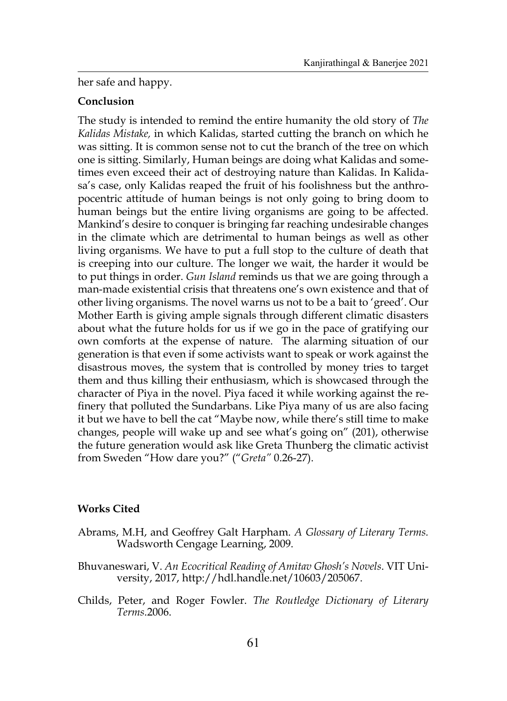her safe and happy.

# **Conclusion**

The study is intended to remind the entire humanity the old story of *The Kalidas Mistake,* in which Kalidas, started cutting the branch on which he was sitting. It is common sense not to cut the branch of the tree on which one is sitting. Similarly, Human beings are doing what Kalidas and sometimes even exceed their act of destroying nature than Kalidas. In Kalidasa's case, only Kalidas reaped the fruit of his foolishness but the anthropocentric attitude of human beings is not only going to bring doom to human beings but the entire living organisms are going to be affected. Mankind's desire to conquer is bringing far reaching undesirable changes in the climate which are detrimental to human beings as well as other living organisms. We have to put a full stop to the culture of death that is creeping into our culture. The longer we wait, the harder it would be to put things in order. *Gun Island* reminds us that we are going through a man-made existential crisis that threatens one's own existence and that of other living organisms. The novel warns us not to be a bait to 'greed'. Our Mother Earth is giving ample signals through different climatic disasters about what the future holds for us if we go in the pace of gratifying our own comforts at the expense of nature. The alarming situation of our generation is that even if some activists want to speak or work against the disastrous moves, the system that is controlled by money tries to target them and thus killing their enthusiasm, which is showcased through the character of Piya in the novel. Piya faced it while working against the refinery that polluted the Sundarbans. Like Piya many of us are also facing it but we have to bell the cat "Maybe now, while there's still time to make changes, people will wake up and see what's going on" (201), otherwise the future generation would ask like Greta Thunberg the climatic activist from Sweden "How dare you?" ("*Greta"* 0.26-27).

# **Works Cited**

- Abrams, M.H, and Geoffrey Galt Harpham. *A Glossary of Literary Terms.*  Wadsworth Cengage Learning, 2009.
- Bhuvaneswari, V. *An Ecocritical Reading of Amitav Ghosh's Novels*. VIT University, 2017, http://hdl.handle.net/10603/205067.
- Childs, Peter, and Roger Fowler. *The Routledge Dictionary of Literary Terms*.2006.